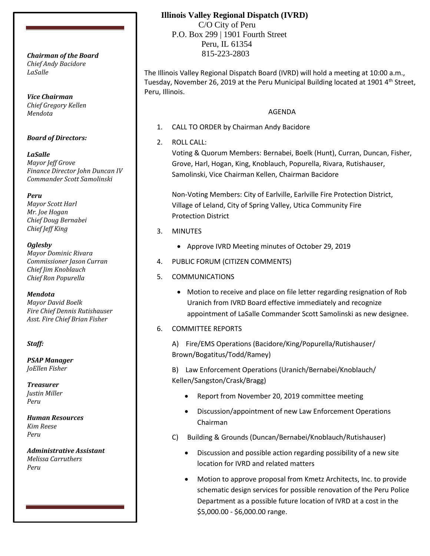*Chief Andy Bacidore LaSalle*

*Vice Chairman Chief Gregory Kellen Mendota*

### *Board of Directors:*

*LaSalle Mayor Jeff Grove Finance Director John Duncan IV Commander Scott Samolinski*

*Peru Mayor Scott Harl Mr. Joe Hogan Chief Doug Bernabei Chief Jeff King*

*Oglesby Mayor Dominic Rivara Commissioner Jason Curran Chief Jim Knoblauch Chief Ron Popurella*

*Mendota Mayor David Boelk Fire Chief Dennis Rutishauser Asst. Fire Chief Brian Fisher*

#### *Staff:*

*PSAP Manager JoEllen Fisher*

*Treasurer Justin Miller Peru*

*Human Resources Kim Reese Peru*

*Administrative Assistant Melissa Carruthers Peru*

# **Illinois Valley Regional Dispatch (IVRD)**

 C/O City of Peru P.O. Box 299 | 1901 Fourth Street Peru, IL 61354 815-223-2803 *Chairman of the Board*

> The Illinois Valley Regional Dispatch Board (IVRD) will hold a meeting at 10:00 a.m., Tuesday, November 26, 2019 at the Peru Municipal Building located at 1901 4<sup>th</sup> Street, Peru, Illinois.

## AGENDA

- 1. CALL TO ORDER by Chairman Andy Bacidore
- 2. ROLL CALL:

Voting & Quorum Members: Bernabei, Boelk (Hunt), Curran, Duncan, Fisher, Grove, Harl, Hogan, King, Knoblauch, Popurella, Rivara, Rutishauser, Samolinski, Vice Chairman Kellen, Chairman Bacidore

Non-Voting Members: City of Earlville, Earlville Fire Protection District, Village of Leland, City of Spring Valley, Utica Community Fire Protection District

- 3. MINUTES
	- Approve IVRD Meeting minutes of October 29, 2019
- 4. PUBLIC FORUM (CITIZEN COMMENTS)
- 5. COMMUNICATIONS
	- Motion to receive and place on file letter regarding resignation of Rob Uranich from IVRD Board effective immediately and recognize appointment of LaSalle Commander Scott Samolinski as new designee.
- 6. COMMITTEE REPORTS

A) Fire/EMS Operations (Bacidore/King/Popurella/Rutishauser/ Brown/Bogatitus/Todd/Ramey)

B) Law Enforcement Operations (Uranich/Bernabei/Knoblauch/ Kellen/Sangston/Crask/Bragg)

- Report from November 20, 2019 committee meeting
- Discussion/appointment of new Law Enforcement Operations Chairman
- C) Building & Grounds (Duncan/Bernabei/Knoblauch/Rutishauser)
	- Discussion and possible action regarding possibility of a new site location for IVRD and related matters
	- Motion to approve proposal from Kmetz Architects, Inc. to provide schematic design services for possible renovation of the Peru Police Department as a possible future location of IVRD at a cost in the \$5,000.00 - \$6,000.00 range.